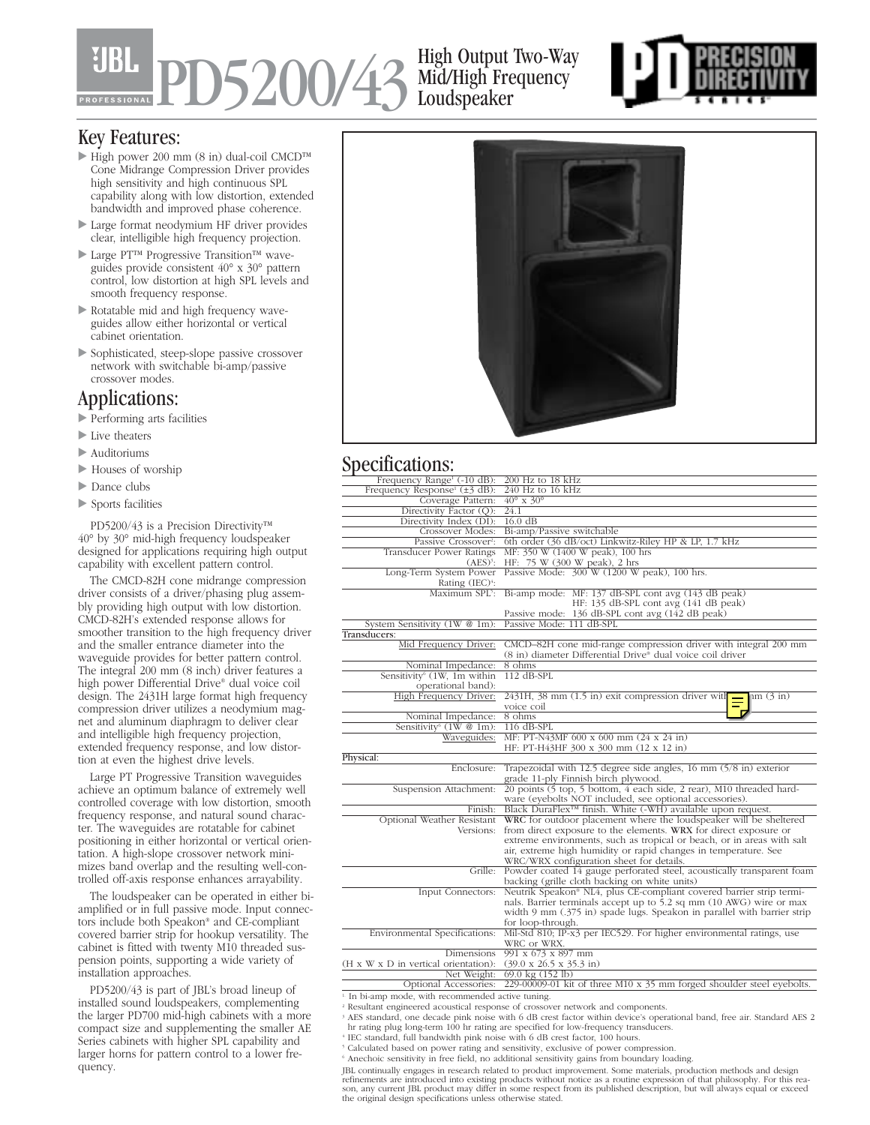# PD5200/43 High Output Two-Way

## Mid/High Frequency Loudspeaker



#### Key Features:

- High power 200 mm (8 in) dual-coil CMCD™ Cone Midrange Compression Driver provides high sensitivity and high continuous SPL capability along with low distortion, extended bandwidth and improved phase coherence.
- Large format neodymium HF driver provides clear, intelligible high frequency projection.
- Large PT™ Progressive Transition™ waveguides provide consistent 40° x 30° pattern control, low distortion at high SPL levels and smooth frequency response.
- Rotatable mid and high frequency waveguides allow either horizontal or vertical cabinet orientation.
- Sophisticated, steep-slope passive crossover network with switchable bi-amp/passive crossover modes.

#### Applications:

- Performing arts facilities
- Live theaters
- Auditoriums
- Houses of worship
- Dance clubs
- Sports facilities

PD5200/43 is a Precision Directivity™ 40° by 30° mid-high frequency loudspeaker designed for applications requiring high output capability with excellent pattern control.

The CMCD-82H cone midrange compression driver consists of a driver/phasing plug assembly providing high output with low distortion. CMCD-82H's extended response allows for smoother transition to the high frequency driver and the smaller entrance diameter into the waveguide provides for better pattern control. The integral 200 mm (8 inch) driver features a high power Differential Drive® dual voice coil design. The 2431H large format high frequency compression driver utilizes a neodymium magnet and aluminum diaphragm to deliver clear and intelligible high frequency projection, extended frequency response, and low distortion at even the highest drive levels.

Large PT Progressive Transition waveguides achieve an optimum balance of extremely well controlled coverage with low distortion, smooth frequency response, and natural sound character. The waveguides are rotatable for cabinet positioning in either horizontal or vertical orientation. A high-slope crossover network minimizes band overlap and the resulting well-controlled off-axis response enhances arrayability.

The loudspeaker can be operated in either biamplified or in full passive mode. Input connectors include both Speakon® and CE-compliant covered barrier strip for hookup versatility. The cabinet is fitted with twenty M10 threaded suspension points, supporting a wide variety of installation approaches.

PD5200/43 is part of JBL's broad lineup of installed sound loudspeakers, complementing the larger PD700 mid-high cabinets with a more compact size and supplementing the smaller AE Series cabinets with higher SPL capability and larger horns for pattern control to a lower frequency.



#### Specifications:

| Frequency Range <sup>1</sup> (-10 dB):         | 200 Hz to 18 kHz                                                                                          |
|------------------------------------------------|-----------------------------------------------------------------------------------------------------------|
| Frequency Response <sup>1</sup> ( $\pm$ 3 dB): | $240$ Hz to $16$ kHz                                                                                      |
| Coverage Pattern:                              | $40^\circ \times 30^\circ$                                                                                |
| Directivity Factor (Q):                        | 24.1                                                                                                      |
| Directivity Index (DI):                        | $16.0 \text{ dB}$                                                                                         |
| Crossover Modes:                               | Bi-amp/Passive switchable                                                                                 |
| Passive Crossover <sup>2</sup> :               | 6th order (36 dB/oct) Linkwitz-Riley HP & LP, 1.7 kHz                                                     |
| <b>Transducer Power Ratings</b>                | MF: 350 W (1400 W peak), 100 hrs                                                                          |
| $(AES)^3$ :                                    | HF: 75 W (300 W peak), 2 hrs                                                                              |
|                                                | Long-Term System Power Passive Mode: 300 W (1200 W peak), 100 hrs.                                        |
| Rating (IEC) <sup>4</sup> :                    |                                                                                                           |
|                                                | Maximum SPL <sup>5</sup> : Bi-amp mode: MF: 137 dB-SPL cont avg (143 dB peak)                             |
|                                                | HF: 135 dB-SPL cont avg (141 dB peak)                                                                     |
|                                                | Passive mode: 136 dB-SPL cont avg (142 dB peak)                                                           |
| System Sensitivity (1W @ 1m):                  | Passive Mode: 111 dB-SPL                                                                                  |
| Transducers:                                   |                                                                                                           |
| Mid Frequency Driver:                          | CMCD-82H cone mid-range compression driver with integral 200 mm                                           |
|                                                | (8 in) diameter Differential Drive® dual voice coil driver                                                |
| Nominal Impedance:                             | 8 ohms                                                                                                    |
| Sensitivity <sup>6</sup> (1W, 1m within        | 112 dB-SPL                                                                                                |
| operational band):                             |                                                                                                           |
| High Frequency Driver:                         | $2431H$ , 38 mm $(1.5$ in) exit compression driver with<br>nm(3in)                                        |
|                                                | voice coil                                                                                                |
| Nominal Impedance:                             | 8 ohms                                                                                                    |
| Sensitivity <sup>6</sup> (1W @ 1m):            | $116$ dB-SPL                                                                                              |
| Waveguides:                                    | MF: PT-N43MF 600 x 600 mm (24 x 24 in)                                                                    |
|                                                | HF: PT-H43HF 300 x 300 mm (12 x 12 in)                                                                    |
| Physical:                                      |                                                                                                           |
| Enclosure:                                     | Trapezoidal with 12.5 degree side angles, $16 \text{ mm}$ $(5/8 \text{ in})$ exterior                     |
|                                                | grade 11-ply Finnish birch plywood.                                                                       |
| Suspension Attachment:                         | $20$ points $(5 \text{ top}, 5 \text{ bottom}, 4 \text{ each side}, 2 \text{ rear})$ , M10 threaded hard- |
|                                                | ware (eyebolts NOT included, see optional accessories).                                                   |
| Finish:                                        | Black DuraFlex <sup>™</sup> finish. White (-WH) available upon request.                                   |
| Optional Weather Resistant                     | WRC for outdoor placement where the loudspeaker will be sheltered                                         |
| Versions:                                      | from direct exposure to the elements. WRX for direct exposure or                                          |
|                                                | extreme environments, such as tropical or beach, or in areas with salt                                    |
|                                                | air, extreme high humidity or rapid changes in temperature. See                                           |
|                                                | WRC/WRX configuration sheet for details.                                                                  |
|                                                | Grille: Powder coated 14 gauge perforated steel, acoustically transparent foam                            |
|                                                | backing (grille cloth backing on white units)                                                             |
| Input Connectors:                              | Neutrik Speakon® NL4, plus CE-compliant covered barrier strip termi-                                      |
|                                                | nals. Barrier terminals accept up to 5.2 sq mm (10 AWG) wire or max                                       |
|                                                | width 9 mm (.375 in) spade lugs. Speakon in parallel with barrier strip                                   |
|                                                | for loop-through.                                                                                         |
| Environmental Specifications:                  | Mil-Std 810; IP-x3 per IEC529. For higher environmental ratings, use                                      |
|                                                | WRC or WRX.                                                                                               |
| Dimensions                                     | $991 \times 673 \times 897$ mm                                                                            |
| (H x W x D in vertical orientation):           | $(39.0 \times 26.5 \times 35.3 \text{ in})$                                                               |
| Net Weight:                                    | $69.0 \text{ kg} (152 \text{ lb})$                                                                        |
| Optional Accessories:                          | 229-00009-01 kit of three M10 x 35 mm forged shoulder steel eyebolts.                                     |

<sup>1.</sup> In bi-amp mode, with recommended active tuning.

- <sup>2</sup> Resultant engineered acoustical response of crossover network and components.
- <sup>3</sup> AES standard, one decade pink noise with 6 dB crest factor within device's operational band, free air. Standard AES 2 hr rating plug long-term 100 hr rating are specified for low-frequency transducers.
- <sup>4</sup> IEC standard, full bandwidth pink noise with 6 dB crest factor, 100 hours.
- <sup>5</sup> Calculated based on power rating and sensitivity, exclusive of power compression.
- <sup>6</sup> Anechoic sensitivity in free field, no additional sensitivity gains from boundary loading.

JBL continually engages in research related to product improvement. Some materials, production methods and design<br>refinements are introduced into existing products without notice as a routine expression of that philosophy.